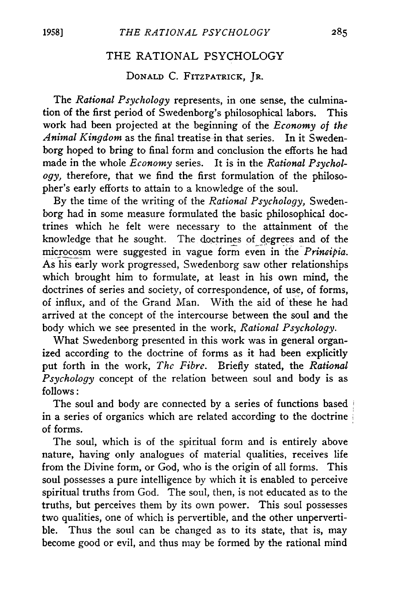## THE RATIONAL PSYCHOLOGY

## **Donald** C. **Fitzpatrick, Jr.**

The *Rational Psychology* represents, in one sense, the culmination of the first period of Swedenborg's philosophical labors. This work had been projected at the beginning of the *Economy of the Animal Kingdom* as the final treatise in that series. In it Swedenborg hoped to bring to final form and conclusion the efforts he had made in the whole *Economy* series. It is in the *Rational Psychology,* therefore, that we find the first formulation of the philosopher's early efforts to attain to a knowledge of the soul.

By the time of the writing of the *Rational Psychology,* Swedenborg had in some measure formulated the basic philosophical doctrines which he felt were necessary to the attainment of the knowledge that he sought. The doctrines of degrees and of the microcosm were suggested in vague form even in the *Principia.* As his early work progressed, Swedenborg saw other relationships which brought him to formulate, at least in his own mind, the doctrines of series and society, of correspondence, of use, of forms, of influx, and of the Grand Man. With the aid of these he had arrived at the concept of the intercourse between the soul and the body which we see presented in the work, *Rational Psychology.*

What Swedenborg presented in this work was in general organized according to the doctrine of forms as it had been explicitly put forth in the work, *The Fibre.* Briefly stated, the *Rational Psychology* concept of the relation between soul and body is as follows:

The soul and body are connected by a series of functions based *\* in a series of organics which are related according to the doctrine *i* of forms.

The soul, which is of the spiritual form and is entirely above nature, having only analogues of material qualities, receives life from the Divine form, or God, who is the origin of all forms. This soul possesses a pure intelligence by which it is enabled to perceive spiritual truths from God. The soul, then, is not educated as to the truths, but perceives them by its own power. This soul possesses two qualities, one of which is pervertible, and the other unpervertible. Thus the soul can be changed as to its state, that is, may become good or evil, and thus may be formed by the rational mind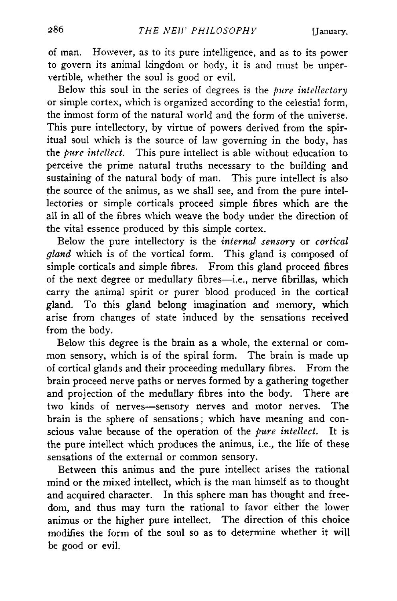of man. However, as to its pure intelligence, and as to its power to govern its animal kingdom or body, it is and must be unpervertible, whether the soul is good or evil.

Below this soul in the series of degrees is the *pure intellectory* or simple cortex, which is organized according to the celestial form, the inmost form of the natural world and the form of the universe. This pure intellectory, by virtue of powers derived from the spiritual soul which is the source of law governing in the body, has the *pure intellect*. This pure intellect is able without education to perceive the prime natural truths necessary to the building and sustaining of the natural body of man. This pure intellect is also the source of the animus, as we shall see, and from the pure intellectories or simple corticals proceed simple fibres which are the all in all of the fibres which weave the body under the direction of the vital essence produced by this simple cortex.

Below the pure intellectory is the *internal sensory* or *cortical gland* which is of the vortical form. This gland is composed of simple corticals and simple fibres. From this gland proceed fibres of the next degree or medullary fibres— i.e., nerve fibrillas, which carry the animal spirit or purer blood produced in the cortical gland. To this gland belong imagination and memory, which arise from changes of state induced by the sensations received from the body.

Below this degree is the brain as a whole, the external or common sensory, which is of the spiral form. The brain is made up of cortical glands and their proceeding medullary fibres. From the brain proceed nerve paths or nerves formed by a gathering together and projection of the medullary fibres into the body. There are two kinds of nerves— sensory nerves and motor nerves. The brain is the sphere of sensations; which have meaning and conscious value because of the operation of the *pure intellect.* It is the pure intellect which produces the animus, i.e., the life of these sensations of the external or common sensory.

Between this animus and the pure intellect arises the rational mind or the mixed intellect, which is the man himself as to thought and acquired character. In this sphere man has thought and freedom, and thus may turn the rational to favor either the lower animus or the higher pure intellect. The direction of this choice modifies the form of the soul so as to determine whether it will be good or evil.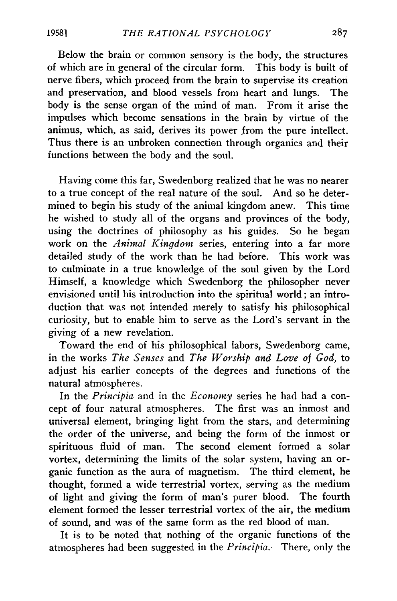Below the brain or common sensory is the body, the structures of which are in general of the circular form. This body is built of nerve fibers, which proceed from the brain to supervise its creation and preservation, and blood vessels from heart and lungs. The body is the sense organ of the mind of man. From it arise the impulses which become sensations in the brain by virtue of the animus, which, as said, derives its power from the pure intellect. Thus there is an unbroken connection through organics and their functions between the body and the soul.

Having come this far, Swedenborg realized that he was no nearer to a true concept of the real nature of the soul. And so he determined to begin his study of the animal kingdom anew. This time he wished to study all of the organs and provinces of the body, using the doctrines of philosophy as his guides. So he began work on the *Animal Kingdom* series, entering into a far more detailed study of the work than he had before. This work was to culminate in a true knowledge of the soul given by the Lord Himself, a knowledge which Swedenborg the philosopher never envisioned until his introduction into the spiritual world; an introduction that was not intended merely to satisfy his philosophical curiosity, but to enable him to serve as the Lord's servant in the giving of a new revelation.

Toward the end of his philosophical labors, Swedenborg came, in the works *The Senses* and *The Worship and Love of God,* to adjust his earlier concepts of the degrees and functions of the natural atmospheres.

In the *Principia* and in the *Economy* series he had had a concept of four natural atmospheres. The first was an inmost and universal element, bringing light from the stars, and determining the order of the universe, and being the form of the inmost or spirituous fluid of man. The second element formed a solar vortex, determining the limits of the solar system, having an organic function as the aura of magnetism. The third element, he thought, formed a wide terrestrial vortex, serving as the medium of light and giving the form of man's purer blood. The fourth element formed the lesser terrestrial vortex of the air, the medium of sound, and was of the same form as the red blood of man.

It is to be noted that nothing of the organic functions of the atmospheres had been suggested in the *Principia.* There, only the